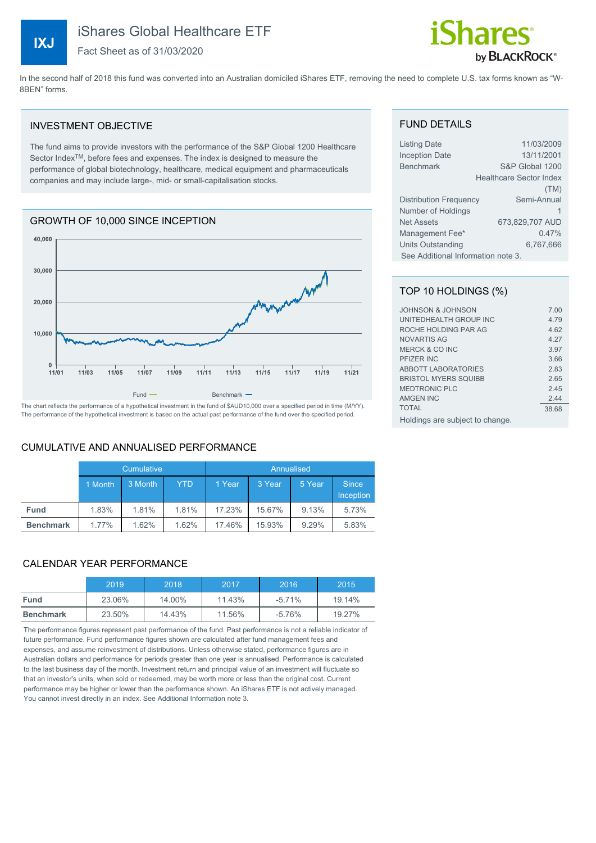**IXJ**

# iShares Global Healthcare ETF

Fact Sheet as of 31/03/2020

# by **BLACKROCK**®

In the second half of 2018 this fund was converted into an Australian domiciled iShares ETF, removing the need to complete U.S. tax forms known as "W-8BEN" forms.

#### INVESTMENT OBJECTIVE

The fund aims to provide investors with the performance of the S&P Global 1200 Healthcare Sector Index<sup>™</sup>, before fees and expenses. The index is designed to measure the performance of global biotechnology, healthcare, medical equipment and pharmaceuticals companies and may include large-, mid- or small-capitalisation stocks.

# GROWTH OF 10,000 SINCE INCEPTION



The chart reflects the performance of a hypothetical investment in the fund of \$AUD10,000 over a specified period in time (M/YY). The performance of the hypothetical investment is based on the actual past performance of the fund over the specified period.

#### CUMULATIVE AND ANNUALISED PERFORMANCE

|                  | Cumulative |         |            | Annualised |        |        |                                  |
|------------------|------------|---------|------------|------------|--------|--------|----------------------------------|
|                  | 1 Month    | 3 Month | <b>YTD</b> | 1 Year     | 3 Year | 5 Year | <b>Since</b><br><b>Inception</b> |
| <b>Fund</b>      | 1.83%      | 1.81%   | 1.81%      | 17.23%     | 15.67% | 9.13%  | 5.73%                            |
| <b>Benchmark</b> | 1.77%      | 1.62%   | 1.62%      | 17.46%     | 15.93% | 9.29%  | 5.83%                            |

# CALENDAR YEAR PERFORMANCE

|                  | 2019   | 2018   | 2017   | 2016      | 2015   |
|------------------|--------|--------|--------|-----------|--------|
| <b>Fund</b>      | 23.06% | 14.00% | 11.43% | $-5.71\%$ | 19.14% |
| <b>Benchmark</b> | 23.50% | 14.43% | 11.56% | -5.76%    | 19.27% |

The performance figures represent past performance of the fund. Past performance is not a reliable indicator of future performance. Fund performance figures shown are calculated after fund management fees and expenses, and assume reinvestment of distributions. Unless otherwise stated, performance figures are in Australian dollars and performance for periods greater than one year is annualised. Performance is calculated to the last business day of the month. Investment return and principal value of an investment will fluctuate so that an investor's units, when sold or redeemed, may be worth more or less than the original cost. Current performance may be higher or lower than the performance shown. An iShares ETF is not actively managed. You cannot invest directly in an index. See Additional Information note 3.

#### FUND DETAILS

| Listing Date                       | 11/03/2009                     |  |  |
|------------------------------------|--------------------------------|--|--|
| <b>Inception Date</b>              | 13/11/2001                     |  |  |
| <b>Benchmark</b>                   | S&P Global 1200                |  |  |
|                                    | <b>Healthcare Sector Index</b> |  |  |
|                                    | (TM)                           |  |  |
| Distribution Frequency             | Semi-Annual                    |  |  |
| Number of Holdings                 |                                |  |  |
| <b>Net Assets</b>                  | 673,829,707 AUD                |  |  |
| Management Fee*                    | 0.47%                          |  |  |
| Units Outstanding                  | 6.767.666                      |  |  |
| See Additional Information note 3. |                                |  |  |

#### TOP 10 HOLDINGS (%)

| JOHNSON & JOHNSON               | 7.00  |
|---------------------------------|-------|
| UNITEDHEALTH GROUP INC          | 4.79  |
| ROCHE HOLDING PAR AG            | 4.62  |
| <b>NOVARTIS AG</b>              | 4.27  |
| <b>MERCK &amp; CO INC</b>       | 3.97  |
| <b>PFIZER INC</b>               | 3.66  |
| <b>ABBOTT LABORATORIES</b>      | 2.83  |
| <b>BRISTOL MYERS SOUIBB</b>     | 2.65  |
| <b>MEDTRONIC PLC</b>            | 2.45  |
| AMGEN INC                       | 2.44  |
| <b>TOTAL</b>                    | 38.68 |
| Holdings are subject to change. |       |